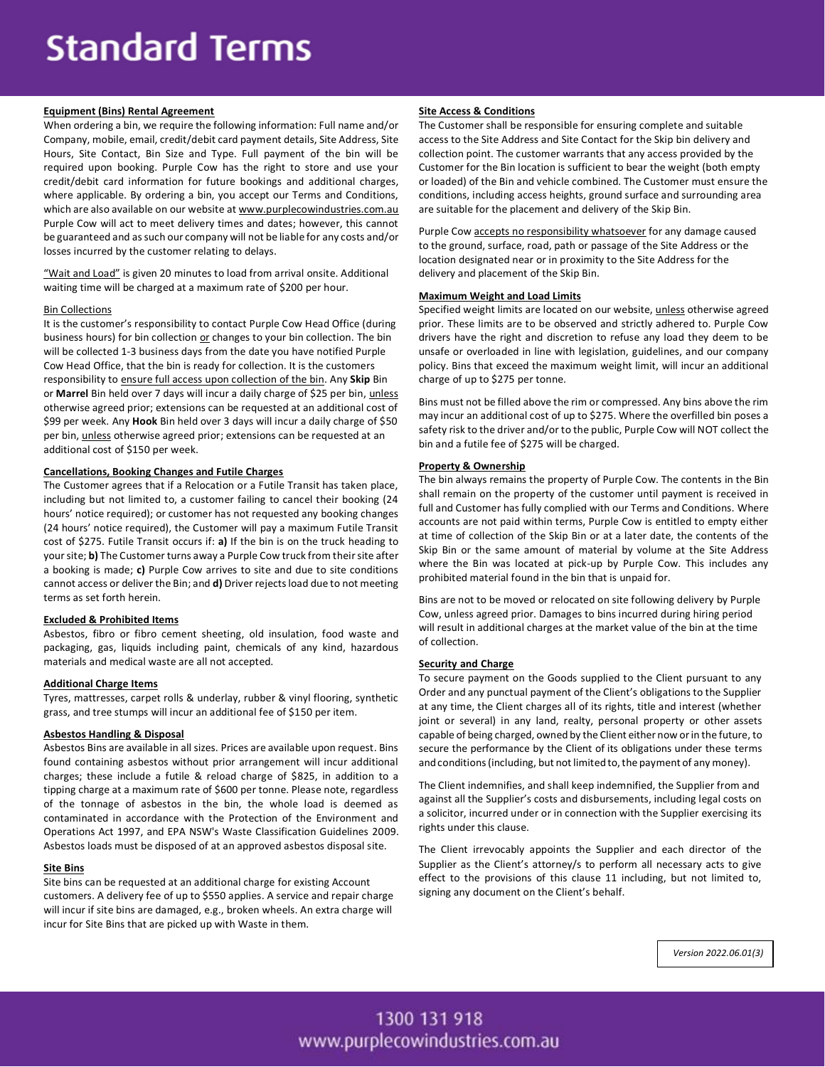# **Standard Terms**

# **Equipment (Bins) Rental Agreement**

When ordering a bin, we require the following information: Full name and/or Company, mobile, email, credit/debit card payment details, Site Address, Site Hours, Site Contact, Bin Size and Type. Full payment of the bin will be required upon booking. Purple Cow has the right to store and use your credit/debit card information for future bookings and additional charges, where applicable. By ordering a bin, you accept our Terms and Conditions, which are also available on our website at www.purplecowindustries.com.au Purple Cow will act to meet delivery times and dates; however, this cannot be guaranteed and as such our company will not be liable for any costs and/or losses incurred by the customer relating to delays.

"Wait and Load" is given 20 minutes to load from arrival onsite. Additional waiting time will be charged at a maximum rate of \$200 per hour.

## Bin Collections

It is the customer's responsibility to contact Purple Cow Head Office (during business hours) for bin collection or changes to your bin collection. The bin will be collected 1-3 business days from the date you have notified Purple Cow Head Office, that the bin is ready for collection. It is the customers responsibility to ensure full access upon collection of the bin. Any **Skip** Bin or **Marrel** Bin held over 7 days will incur a daily charge of \$25 per bin, unless otherwise agreed prior; extensions can be requested at an additional cost of \$99 per week. Any **Hook** Bin held over 3 days will incur a daily charge of \$50 per bin, unless otherwise agreed prior; extensions can be requested at an additional cost of \$150 per week.

# **Cancellations, Booking Changes and Futile Charges**

The Customer agrees that if a Relocation or a Futile Transit has taken place, including but not limited to, a customer failing to cancel their booking (24 hours' notice required); or customer has not requested any booking changes (24 hours' notice required), the Customer will pay a maximum Futile Transit cost of \$275. Futile Transit occurs if: **a)** If the bin is on the truck heading to your site; **b)** The Customer turns away a Purple Cow truck from their site after a booking is made; **c)** Purple Cow arrives to site and due to site conditions cannot access or deliver the Bin; and **d)** Driver rejects load due to not meeting terms as set forth herein.

# **Excluded & Prohibited Items**

Asbestos, fibro or fibro cement sheeting, old insulation, food waste and packaging, gas, liquids including paint, chemicals of any kind, hazardous materials and medical waste are all not accepted.

#### **Additional Charge Items**

Tyres, mattresses, carpet rolls & underlay, rubber & vinyl flooring, synthetic grass, and tree stumps will incur an additional fee of \$150 per item.

### **Asbestos Handling & Disposal**

Asbestos Bins are available in all sizes. Prices are available upon request. Bins found containing asbestos without prior arrangement will incur additional charges; these include a futile & reload charge of \$825, in addition to a tipping charge at a maximum rate of \$600 per tonne. Please note, regardless of the tonnage of asbestos in the bin, the whole load is deemed as contaminated in accordance with the Protection of the Environment and Operations Act 1997, and EPA NSW's Waste Classification Guidelines 2009. Asbestos loads must be disposed of at an approved asbestos disposal site.

#### **Site Bins**

Site bins can be requested at an additional charge for existing Account customers. A delivery fee of up to \$550 applies. A service and repair charge will incur if site bins are damaged, e.g., broken wheels. An extra charge will incur for Site Bins that are picked up with Waste in them.

#### **Site Access & Conditions**

The Customer shall be responsible for ensuring complete and suitable access to the Site Address and Site Contact for the Skip bin delivery and collection point. The customer warrants that any access provided by the Customer for the Bin location is sufficient to bear the weight (both empty or loaded) of the Bin and vehicle combined. The Customer must ensure the conditions, including access heights, ground surface and surrounding area are suitable for the placement and delivery of the Skip Bin.

Purple Cow accepts no responsibility whatsoever for any damage caused to the ground, surface, road, path or passage of the Site Address or the location designated near or in proximity to the Site Address for the delivery and placement of the Skip Bin.

# **Maximum Weight and Load Limits**

Specified weight limits are located on our website, unless otherwise agreed prior. These limits are to be observed and strictly adhered to. Purple Cow drivers have the right and discretion to refuse any load they deem to be unsafe or overloaded in line with legislation, guidelines, and our company policy. Bins that exceed the maximum weight limit, will incur an additional charge of up to \$275 per tonne.

Bins must not be filled above the rim or compressed. Any bins above the rim may incur an additional cost of up to \$275. Where the overfilled bin poses a safety risk to the driver and/or to the public, Purple Cow will NOT collect the bin and a futile fee of \$275 will be charged.

# **Property & Ownership**

The bin always remains the property of Purple Cow. The contents in the Bin shall remain on the property of the customer until payment is received in full and Customer has fully complied with our Terms and Conditions. Where accounts are not paid within terms, Purple Cow is entitled to empty either at time of collection of the Skip Bin or at a later date, the contents of the Skip Bin or the same amount of material by volume at the Site Address where the Bin was located at pick-up by Purple Cow. This includes any prohibited material found in the bin that is unpaid for.

Bins are not to be moved or relocated on site following delivery by Purple Cow, unless agreed prior. Damages to bins incurred during hiring period will result in additional charges at the market value of the bin at the time of collection.

# **Security and Charge**

To secure payment on the Goods supplied to the Client pursuant to any Order and any punctual payment of the Client's obligations to the Supplier at any time, the Client charges all of its rights, title and interest (whether joint or several) in any land, realty, personal property or other assets capable of being charged, owned by the Client either now orin the future, to secure the performance by the Client of its obligations under these terms and conditions (including, but not limited to, the payment of any money).

The Client indemnifies, and shall keep indemnified, the Supplier from and against all the Supplier's costs and disbursements, including legal costs on a solicitor, incurred under or in connection with the Supplier exercising its rights under this clause.

The Client irrevocably appoints the Supplier and each director of the Supplier as the Client's attorney/s to perform all necessary acts to give effect to the provisions of this clause 11 including, but not limited to, signing any document on the Client's behalf.

*Version 2022.06.01(3)*

# 1300 131 918 www.purplecowindustries.com.au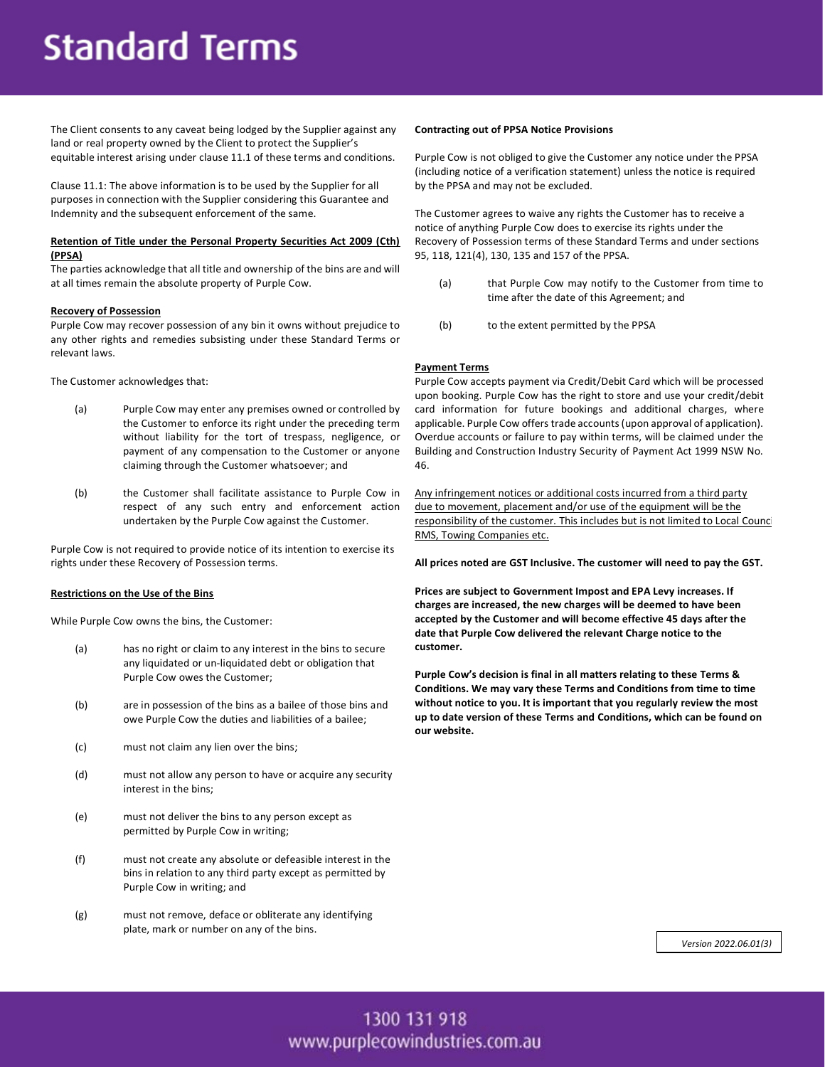# **Standard Terms**

The Client consents to any caveat being lodged by the Supplier against any land or real property owned by the Client to protect the Supplier's equitable interest arising under clause 11.1 of these terms and conditions.

Clause 11.1: The above information is to be used by the Supplier for all purposes in connection with the Supplier considering this Guarantee and Indemnity and the subsequent enforcement of the same.

# **Retention of Title under the Personal Property Securities Act 2009 (Cth) (PPSA)**

The parties acknowledge that all title and ownership of the bins are and will at all times remain the absolute property of Purple Cow.

# **Recovery of Possession**

Purple Cow may recover possession of any bin it owns without prejudice to any other rights and remedies subsisting under these Standard Terms or relevant laws.

The Customer acknowledges that:

- (a) Purple Cow may enter any premises owned or controlled by the Customer to enforce its right under the preceding term without liability for the tort of trespass, negligence, or payment of any compensation to the Customer or anyone claiming through the Customer whatsoever; and
- (b) the Customer shall facilitate assistance to Purple Cow in respect of any such entry and enforcement action undertaken by the Purple Cow against the Customer.

Purple Cow is not required to provide notice of its intention to exercise its rights under these Recovery of Possession terms.

# **Restrictions on the Use of the Bins**

While Purple Cow owns the bins, the Customer:

- (a) has no right or claim to any interest in the bins to secure any liquidated or un-liquidated debt or obligation that Purple Cow owes the Customer;
- (b) are in possession of the bins as a bailee of those bins and owe Purple Cow the duties and liabilities of a bailee;
- (c) must not claim any lien over the bins;
- (d) must not allow any person to have or acquire any security interest in the bins;
- (e) must not deliver the bins to any person except as permitted by Purple Cow in writing;
- (f) must not create any absolute or defeasible interest in the bins in relation to any third party except as permitted by Purple Cow in writing; and
- (g) must not remove, deface or obliterate any identifying plate, mark or number on any of the bins.

### **Contracting out of PPSA Notice Provisions**

Purple Cow is not obliged to give the Customer any notice under the PPSA (including notice of a verification statement) unless the notice is required by the PPSA and may not be excluded.

The Customer agrees to waive any rights the Customer has to receive a notice of anything Purple Cow does to exercise its rights under the Recovery of Possession terms of these Standard Terms and under sections 95, 118, 121(4), 130, 135 and 157 of the PPSA.

- (a) that Purple Cow may notify to the Customer from time to time after the date of this Agreement; and
- (b) to the extent permitted by the PPSA

# **Payment Terms**

Purple Cow accepts payment via Credit/Debit Card which will be processed upon booking. Purple Cow has the right to store and use your credit/debit card information for future bookings and additional charges, where applicable. Purple Cow offers trade accounts (upon approval of application). Overdue accounts or failure to pay within terms, will be claimed under the Building and Construction Industry Security of Payment Act 1999 NSW No. 46.

Any infringement notices or additional costs incurred from a third party due to movement, placement and/or use of the equipment will be the responsibility of the customer. This includes but is not limited to Local Counci RMS, Towing Companies etc.

**All prices noted are GST Inclusive. The customer will need to pay the GST.**

**Prices are subject to Government Impost and EPA Levy increases. If charges are increased, the new charges will be deemed to have been accepted by the Customer and will become effective 45 days after the date that Purple Cow delivered the relevant Charge notice to the customer.**

**Purple Cow's decision is final in all matters relating to these Terms & Conditions. We may vary these Terms and Conditions from time to time without notice to you. It is important that you regularly review the most up to date version of these Terms and Conditions, which can be found on our website.**

*Version 2022.06.01(3)*